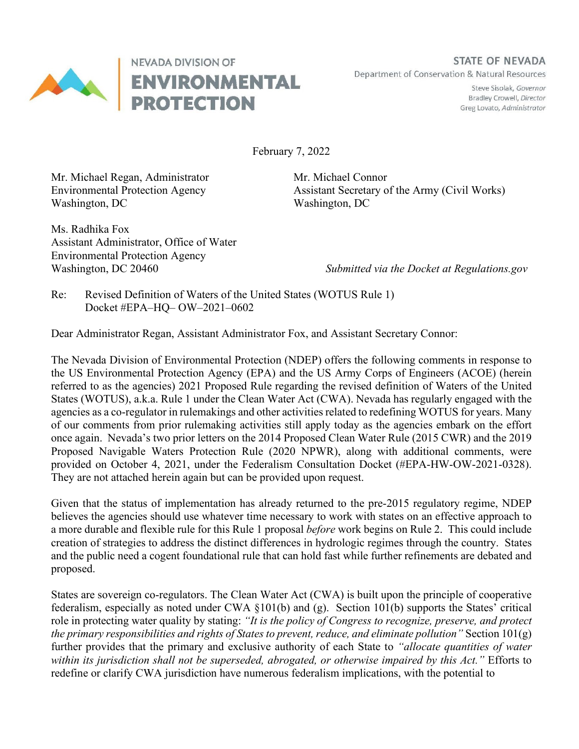

Steve Sisolak, Governor Bradley Crowell, Director Greg Lovato, Administrator

February 7, 2022

Mr. Michael Regan, Administrator Mr. Michael Connor Washington, DC Washington, DC

Environmental Protection Agency Assistant Secretary of the Army (Civil Works)

Ms. Radhika Fox Assistant Administrator, Office of Water Environmental Protection Agency

Washington, DC 20460 *Submitted via the Docket at Regulations.gov*

Re: Revised Definition of Waters of the United States (WOTUS Rule 1) Docket #EPA–HQ– OW–2021–0602

Dear Administrator Regan, Assistant Administrator Fox, and Assistant Secretary Connor:

The Nevada Division of Environmental Protection (NDEP) offers the following comments in response to the US Environmental Protection Agency (EPA) and the US Army Corps of Engineers (ACOE) (herein referred to as the agencies) 2021 Proposed Rule regarding the revised definition of Waters of the United States (WOTUS), a.k.a. Rule 1 under the Clean Water Act (CWA). Nevada has regularly engaged with the agencies as a co-regulator in rulemakings and other activities related to redefining WOTUS for years. Many of our comments from prior rulemaking activities still apply today as the agencies embark on the effort once again. Nevada's two prior letters on the 2014 Proposed Clean Water Rule (2015 CWR) and the 2019 Proposed Navigable Waters Protection Rule (2020 NPWR), along with additional comments, were provided on October 4, 2021, under the Federalism Consultation Docket (#EPA-HW-OW-2021-0328). They are not attached herein again but can be provided upon request.

Given that the status of implementation has already returned to the pre-2015 regulatory regime, NDEP believes the agencies should use whatever time necessary to work with states on an effective approach to a more durable and flexible rule for this Rule 1 proposal *before* work begins on Rule 2. This could include creation of strategies to address the distinct differences in hydrologic regimes through the country. States and the public need a cogent foundational rule that can hold fast while further refinements are debated and proposed.

States are sovereign co-regulators. The Clean Water Act (CWA) is built upon the principle of cooperative federalism, especially as noted under CWA §101(b) and (g). Section 101(b) supports the States' critical role in protecting water quality by stating: *"It is the policy of Congress to recognize, preserve, and protect the primary responsibilities and rights of States to prevent, reduce, and eliminate pollution"* Section 101(g) further provides that the primary and exclusive authority of each State to *"allocate quantities of water within its jurisdiction shall not be superseded, abrogated, or otherwise impaired by this Act."* Efforts to redefine or clarify CWA jurisdiction have numerous federalism implications, with the potential to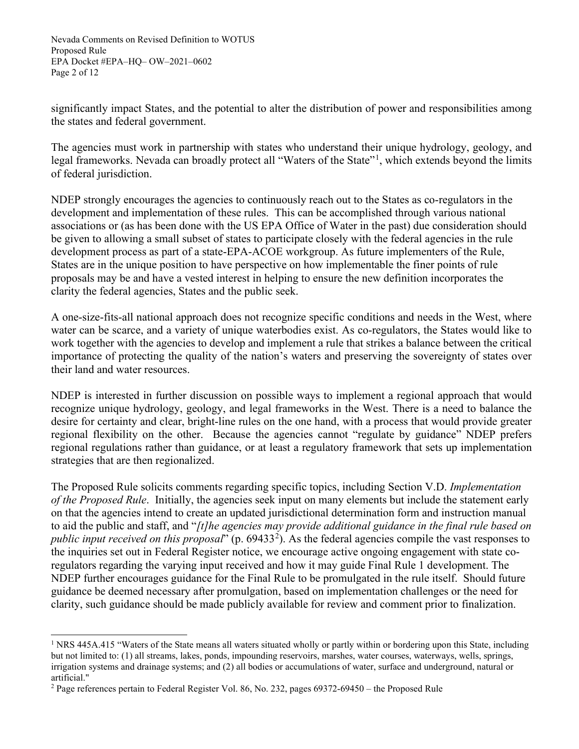Nevada Comments on Revised Definition to WOTUS Proposed Rule EPA Docket #EPA–HQ– OW–2021–0602 Page 2 of 12

significantly impact States, and the potential to alter the distribution of power and responsibilities among the states and federal government.

The agencies must work in partnership with states who understand their unique hydrology, geology, and legal frameworks. Nevada can broadly protect all "Waters of the State"<sup>[1](#page-1-0)</sup>, which extends beyond the limits of federal jurisdiction.

NDEP strongly encourages the agencies to continuously reach out to the States as co-regulators in the development and implementation of these rules. This can be accomplished through various national associations or (as has been done with the US EPA Office of Water in the past) due consideration should be given to allowing a small subset of states to participate closely with the federal agencies in the rule development process as part of a state-EPA-ACOE workgroup. As future implementers of the Rule, States are in the unique position to have perspective on how implementable the finer points of rule proposals may be and have a vested interest in helping to ensure the new definition incorporates the clarity the federal agencies, States and the public seek.

A one-size-fits-all national approach does not recognize specific conditions and needs in the West, where water can be scarce, and a variety of unique waterbodies exist. As co-regulators, the States would like to work together with the agencies to develop and implement a rule that strikes a balance between the critical importance of protecting the quality of the nation's waters and preserving the sovereignty of states over their land and water resources.

NDEP is interested in further discussion on possible ways to implement a regional approach that would recognize unique hydrology, geology, and legal frameworks in the West. There is a need to balance the desire for certainty and clear, bright-line rules on the one hand, with a process that would provide greater regional flexibility on the other. Because the agencies cannot "regulate by guidance" NDEP prefers regional regulations rather than guidance, or at least a regulatory framework that sets up implementation strategies that are then regionalized.

The Proposed Rule solicits comments regarding specific topics, including Section V.D. *Implementation of the Proposed Rule*. Initially, the agencies seek input on many elements but include the statement early on that the agencies intend to create an updated jurisdictional determination form and instruction manual to aid the public and staff, and "*[t]he agencies may provide additional guidance in the final rule based on*  public input received on this proposal" (p. 69433<sup>[2](#page-1-1)</sup>). As the federal agencies compile the vast responses to the inquiries set out in Federal Register notice, we encourage active ongoing engagement with state coregulators regarding the varying input received and how it may guide Final Rule 1 development. The NDEP further encourages guidance for the Final Rule to be promulgated in the rule itself. Should future guidance be deemed necessary after promulgation, based on implementation challenges or the need for clarity, such guidance should be made publicly available for review and comment prior to finalization.

<span id="page-1-0"></span><sup>&</sup>lt;sup>1</sup> NRS 445A.415 "Waters of the State means all waters situated wholly or partly within or bordering upon this State, including but not limited to: (1) all streams, lakes, ponds, impounding reservoirs, marshes, water courses, waterways, wells, springs, irrigation systems and drainage systems; and (2) all bodies or accumulations of water, surface and underground, natural or artificial."

<span id="page-1-1"></span><sup>2</sup> Page references pertain to Federal Register Vol. 86, No. 232, pages 69372-69450 – the Proposed Rule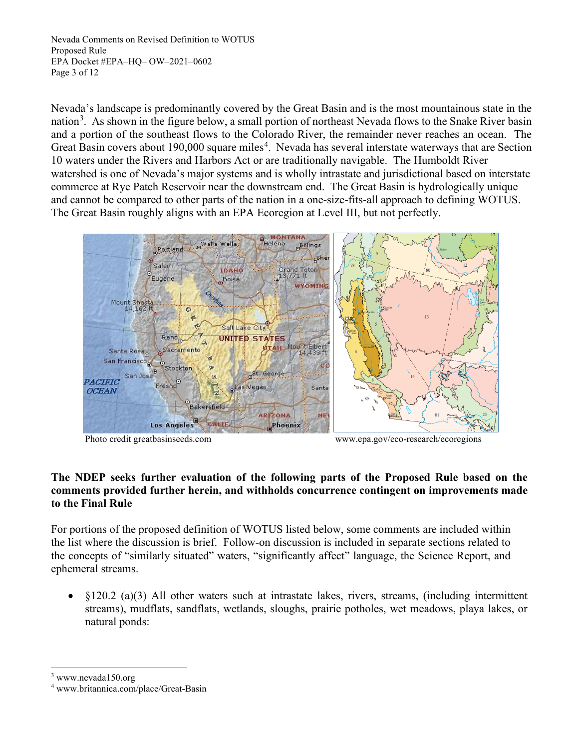Nevada Comments on Revised Definition to WOTUS Proposed Rule EPA Docket #EPA–HQ– OW–2021–0602 Page 3 of 12

Nevada's landscape is predominantly covered by the Great Basin and is the most mountainous state in the nation<sup>[3](#page-2-0)</sup>. As shown in the figure below, a small portion of northeast Nevada flows to the Snake River basin and a portion of the southeast flows to the Colorado River, the remainder never reaches an ocean. The Great Basin covers about 190,000 square miles<sup>[4](#page-2-1)</sup>. Nevada has several interstate waterways that are Section 10 waters under the Rivers and Harbors Act or are traditionally navigable. The Humboldt River watershed is one of Nevada's major systems and is wholly intrastate and jurisdictional based on interstate commerce at Rye Patch Reservoir near the downstream end. The Great Basin is hydrologically unique and cannot be compared to other parts of the nation in a one-size-fits-all approach to defining WOTUS. The Great Basin roughly aligns with an EPA Ecoregion at Level III, but not perfectly.



Photo credit greatbasinseeds.com www.epa.gov/eco-research/ecoregions

### **The NDEP seeks further evaluation of the following parts of the Proposed Rule based on the comments provided further herein, and withholds concurrence contingent on improvements made to the Final Rule**

For portions of the proposed definition of WOTUS listed below, some comments are included within the list where the discussion is brief. Follow-on discussion is included in separate sections related to the concepts of "similarly situated" waters, "significantly affect" language, the Science Report, and ephemeral streams.

 $\{120.2 \text{ (a)}(3)$  All other waters such at intrastate lakes, rivers, streams, (including intermittent streams), mudflats, sandflats, wetlands, sloughs, prairie potholes, wet meadows, playa lakes, or natural ponds:

<span id="page-2-0"></span>www.nevada150.org

<span id="page-2-1"></span><sup>4</sup> www.britannica.com/place/Great-Basin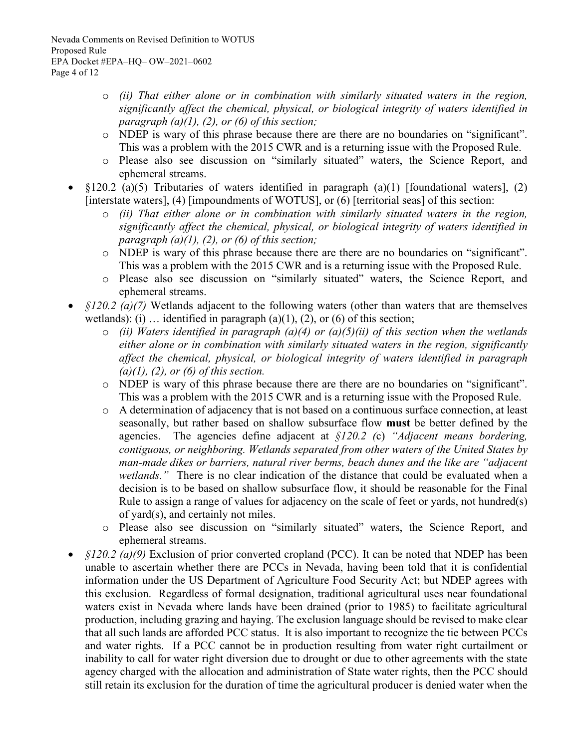- o *(ii) That either alone or in combination with similarly situated waters in the region, significantly affect the chemical, physical, or biological integrity of waters identified in paragraph (a)(1), (2), or (6) of this section;*
- o NDEP is wary of this phrase because there are there are no boundaries on "significant". This was a problem with the 2015 CWR and is a returning issue with the Proposed Rule.
- o Please also see discussion on "similarly situated" waters, the Science Report, and ephemeral streams.
- §120.2 (a)(5) Tributaries of waters identified in paragraph (a)(1) [foundational waters], (2) [interstate waters], (4) [impoundments of WOTUS], or (6) [territorial seas] of this section:
	- o *(ii) That either alone or in combination with similarly situated waters in the region, significantly affect the chemical, physical, or biological integrity of waters identified in paragraph (a)(1), (2), or (6) of this section;*
	- o NDEP is wary of this phrase because there are there are no boundaries on "significant". This was a problem with the 2015 CWR and is a returning issue with the Proposed Rule.
	- o Please also see discussion on "similarly situated" waters, the Science Report, and ephemeral streams.
- *§120.2 (a)(7)* Wetlands adjacent to the following waters (other than waters that are themselves wetlands): (i)  $\ldots$  identified in paragraph (a)(1), (2), or (6) of this section;
	- o *(ii) Waters identified in paragraph (a)(4) or (a)(5)(ii) of this section when the wetlands either alone or in combination with similarly situated waters in the region, significantly affect the chemical, physical, or biological integrity of waters identified in paragraph (a)(1), (2), or (6) of this section.*
	- o NDEP is wary of this phrase because there are there are no boundaries on "significant". This was a problem with the 2015 CWR and is a returning issue with the Proposed Rule.
	- o A determination of adjacency that is not based on a continuous surface connection, at least seasonally, but rather based on shallow subsurface flow **must** be better defined by the agencies. The agencies define adjacent at *§120.2 (*c) *"Adjacent means bordering, contiguous, or neighboring. Wetlands separated from other waters of the United States by man-made dikes or barriers, natural river berms, beach dunes and the like are "adjacent wetlands."* There is no clear indication of the distance that could be evaluated when a decision is to be based on shallow subsurface flow, it should be reasonable for the Final Rule to assign a range of values for adjacency on the scale of feet or yards, not hundred(s) of yard(s), and certainly not miles.
	- o Please also see discussion on "similarly situated" waters, the Science Report, and ephemeral streams.
- *§120.2 (a)(9)* Exclusion of prior converted cropland (PCC). It can be noted that NDEP has been unable to ascertain whether there are PCCs in Nevada, having been told that it is confidential information under the US Department of Agriculture Food Security Act; but NDEP agrees with this exclusion. Regardless of formal designation, traditional agricultural uses near foundational waters exist in Nevada where lands have been drained (prior to 1985) to facilitate agricultural production, including grazing and haying. The exclusion language should be revised to make clear that all such lands are afforded PCC status. It is also important to recognize the tie between PCCs and water rights. If a PCC cannot be in production resulting from water right curtailment or inability to call for water right diversion due to drought or due to other agreements with the state agency charged with the allocation and administration of State water rights, then the PCC should still retain its exclusion for the duration of time the agricultural producer is denied water when the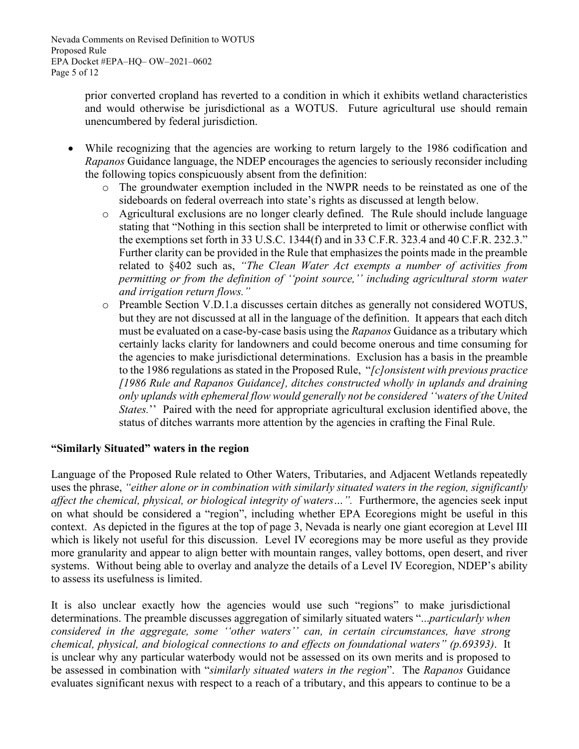Nevada Comments on Revised Definition to WOTUS Proposed Rule EPA Docket #EPA–HQ– OW–2021–0602 Page 5 of 12

> prior converted cropland has reverted to a condition in which it exhibits wetland characteristics and would otherwise be jurisdictional as a WOTUS. Future agricultural use should remain unencumbered by federal jurisdiction.

- While recognizing that the agencies are working to return largely to the 1986 codification and *Rapanos* Guidance language, the NDEP encourages the agencies to seriously reconsider including the following topics conspicuously absent from the definition:
	- o The groundwater exemption included in the NWPR needs to be reinstated as one of the sideboards on federal overreach into state's rights as discussed at length below.
	- o Agricultural exclusions are no longer clearly defined. The Rule should include language stating that "Nothing in this section shall be interpreted to limit or otherwise conflict with the exemptions set forth in 33 U.S.C. 1344(f) and in 33 C.F.R. 323.4 and 40 C.F.R. 232.3." Further clarity can be provided in the Rule that emphasizes the points made in the preamble related to §402 such as, *"The Clean Water Act exempts a number of activities from permitting or from the definition of ''point source,'' including agricultural storm water and irrigation return flows."*
	- o Preamble Section V.D.1.a discusses certain ditches as generally not considered WOTUS, but they are not discussed at all in the language of the definition. It appears that each ditch must be evaluated on a case-by-case basis using the *Rapanos* Guidance as a tributary which certainly lacks clarity for landowners and could become onerous and time consuming for the agencies to make jurisdictional determinations. Exclusion has a basis in the preamble to the 1986 regulations as stated in the Proposed Rule, "*[c]onsistent with previous practice [1986 Rule and Rapanos Guidance], ditches constructed wholly in uplands and draining only uplands with ephemeral flow would generally not be considered ''waters of the United States.*'' Paired with the need for appropriate agricultural exclusion identified above, the status of ditches warrants more attention by the agencies in crafting the Final Rule.

### **"Similarly Situated" waters in the region**

Language of the Proposed Rule related to Other Waters, Tributaries, and Adjacent Wetlands repeatedly uses the phrase, *"either alone or in combination with similarly situated waters in the region, significantly*  affect the chemical, physical, or biological integrity of waters...". Furthermore, the agencies seek input on what should be considered a "region", including whether EPA Ecoregions might be useful in this context. As depicted in the figures at the top of page 3, Nevada is nearly one giant ecoregion at Level III which is likely not useful for this discussion. Level IV ecoregions may be more useful as they provide more granularity and appear to align better with mountain ranges, valley bottoms, open desert, and river systems. Without being able to overlay and analyze the details of a Level IV Ecoregion, NDEP's ability to assess its usefulness is limited.

It is also unclear exactly how the agencies would use such "regions" to make jurisdictional determinations. The preamble discusses aggregation of similarly situated waters "...*particularly when considered in the aggregate, some ''other waters'' can, in certain circumstances, have strong chemical, physical, and biological connections to and effects on foundational waters" (p.69393)*. It is unclear why any particular waterbody would not be assessed on its own merits and is proposed to be assessed in combination with "*similarly situated waters in the region*". The *Rapanos* Guidance evaluates significant nexus with respect to a reach of a tributary, and this appears to continue to be a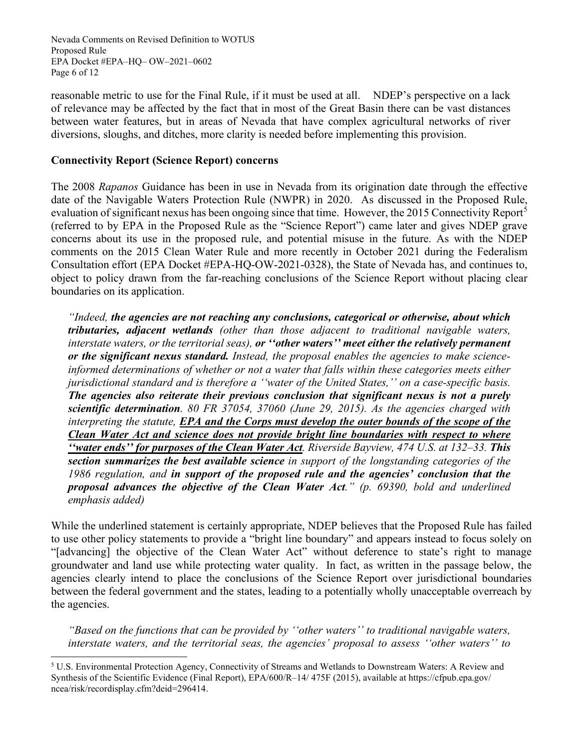Nevada Comments on Revised Definition to WOTUS Proposed Rule EPA Docket #EPA–HQ– OW–2021–0602 Page 6 of 12

reasonable metric to use for the Final Rule, if it must be used at all. NDEP's perspective on a lack of relevance may be affected by the fact that in most of the Great Basin there can be vast distances between water features, but in areas of Nevada that have complex agricultural networks of river diversions, sloughs, and ditches, more clarity is needed before implementing this provision.

### **Connectivity Report (Science Report) concerns**

The 2008 *Rapanos* Guidance has been in use in Nevada from its origination date through the effective date of the Navigable Waters Protection Rule (NWPR) in 2020. As discussed in the Proposed Rule, evaluation of significant nexus has been ongoing since that time. However, the 201[5](#page-5-0) Connectivity Report<sup>5</sup> (referred to by EPA in the Proposed Rule as the "Science Report") came later and gives NDEP grave concerns about its use in the proposed rule, and potential misuse in the future. As with the NDEP comments on the 2015 Clean Water Rule and more recently in October 2021 during the Federalism Consultation effort (EPA Docket #EPA-HQ-OW-2021-0328), the State of Nevada has, and continues to, object to policy drawn from the far-reaching conclusions of the Science Report without placing clear boundaries on its application.

*"Indeed, the agencies are not reaching any conclusions, categorical or otherwise, about which tributaries, adjacent wetlands (other than those adjacent to traditional navigable waters, interstate waters, or the territorial seas), or ''other waters'' meet either the relatively permanent or the significant nexus standard. Instead, the proposal enables the agencies to make scienceinformed determinations of whether or not a water that falls within these categories meets either jurisdictional standard and is therefore a ''water of the United States,'' on a case-specific basis. The agencies also reiterate their previous conclusion that significant nexus is not a purely scientific determination. 80 FR 37054, 37060 (June 29, 2015). As the agencies charged with interpreting the statute, EPA and the Corps must develop the outer bounds of the scope of the Clean Water Act and science does not provide bright line boundaries with respect to where ''water ends'' for purposes of the Clean Water Act. Riverside Bayview, 474 U.S. at 132–33. This section summarizes the best available science in support of the longstanding categories of the 1986 regulation, and in support of the proposed rule and the agencies' conclusion that the proposal advances the objective of the Clean Water Act." (p. 69390, bold and underlined emphasis added)*

While the underlined statement is certainly appropriate, NDEP believes that the Proposed Rule has failed to use other policy statements to provide a "bright line boundary" and appears instead to focus solely on "[advancing] the objective of the Clean Water Act" without deference to state's right to manage groundwater and land use while protecting water quality. In fact, as written in the passage below, the agencies clearly intend to place the conclusions of the Science Report over jurisdictional boundaries between the federal government and the states, leading to a potentially wholly unacceptable overreach by the agencies.

*"Based on the functions that can be provided by ''other waters'' to traditional navigable waters, interstate waters, and the territorial seas, the agencies' proposal to assess ''other waters'' to* 

<span id="page-5-0"></span><sup>5</sup> U.S. Environmental Protection Agency, Connectivity of Streams and Wetlands to Downstream Waters: A Review and Synthesis of the Scientific Evidence (Final Report), EPA/600/R–14/ 475F (2015), available at https://cfpub.epa.gov/ ncea/risk/recordisplay.cfm?deid=296414.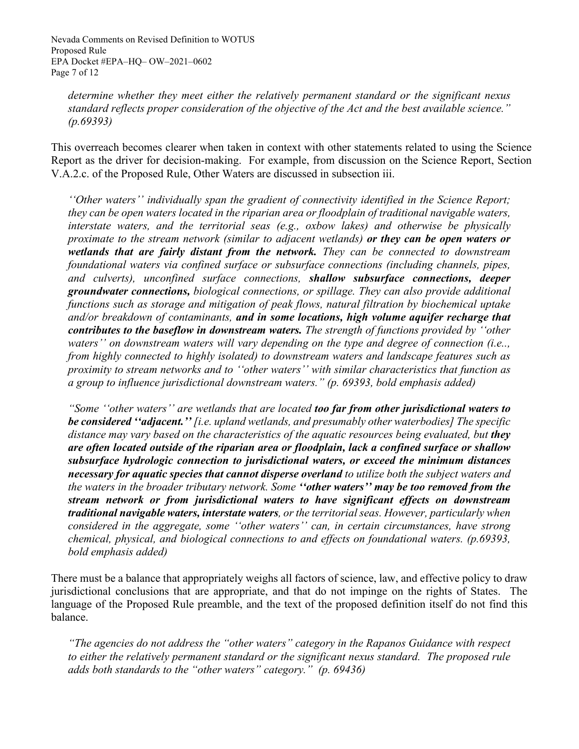Nevada Comments on Revised Definition to WOTUS Proposed Rule EPA Docket #EPA–HQ– OW–2021–0602 Page 7 of 12

*determine whether they meet either the relatively permanent standard or the significant nexus standard reflects proper consideration of the objective of the Act and the best available science." (p.69393)*

This overreach becomes clearer when taken in context with other statements related to using the Science Report as the driver for decision-making. For example, from discussion on the Science Report, Section V.A.2.c. of the Proposed Rule, Other Waters are discussed in subsection iii.

*''Other waters'' individually span the gradient of connectivity identified in the Science Report; they can be open waters located in the riparian area or floodplain of traditional navigable waters, interstate waters, and the territorial seas (e.g., oxbow lakes) and otherwise be physically proximate to the stream network (similar to adjacent wetlands) or they can be open waters or wetlands that are fairly distant from the network. They can be connected to downstream foundational waters via confined surface or subsurface connections (including channels, pipes, and culverts), unconfined surface connections, shallow subsurface connections, deeper groundwater connections, biological connections, or spillage. They can also provide additional functions such as storage and mitigation of peak flows, natural filtration by biochemical uptake and/or breakdown of contaminants, and in some locations, high volume aquifer recharge that contributes to the baseflow in downstream waters. The strength of functions provided by ''other waters'' on downstream waters will vary depending on the type and degree of connection (i.e.., from highly connected to highly isolated) to downstream waters and landscape features such as proximity to stream networks and to ''other waters'' with similar characteristics that function as a group to influence jurisdictional downstream waters." (p. 69393, bold emphasis added)*

*"Some ''other waters'' are wetlands that are located too far from other jurisdictional waters to be considered ''adjacent.'' [i.e. upland wetlands, and presumably other waterbodies] The specific distance may vary based on the characteristics of the aquatic resources being evaluated, but they are often located outside of the riparian area or floodplain, lack a confined surface or shallow subsurface hydrologic connection to jurisdictional waters, or exceed the minimum distances necessary for aquatic species that cannot disperse overland to utilize both the subject waters and the waters in the broader tributary network. Some ''other waters'' may be too removed from the stream network or from jurisdictional waters to have significant effects on downstream traditional navigable waters, interstate waters, or the territorial seas. However, particularly when considered in the aggregate, some ''other waters'' can, in certain circumstances, have strong chemical, physical, and biological connections to and effects on foundational waters. (p.69393, bold emphasis added)*

There must be a balance that appropriately weighs all factors of science, law, and effective policy to draw jurisdictional conclusions that are appropriate, and that do not impinge on the rights of States. The language of the Proposed Rule preamble, and the text of the proposed definition itself do not find this balance.

*"The agencies do not address the "other waters" category in the Rapanos Guidance with respect to either the relatively permanent standard or the significant nexus standard. The proposed rule adds both standards to the "other waters" category." (p. 69436)*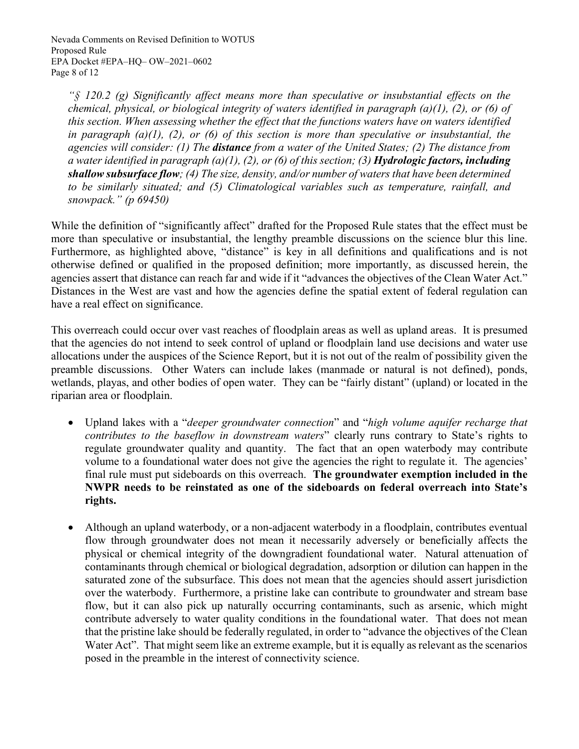Nevada Comments on Revised Definition to WOTUS Proposed Rule EPA Docket #EPA–HQ– OW–2021–0602 Page 8 of 12

*"§ 120.2 (g) Significantly affect means more than speculative or insubstantial effects on the chemical, physical, or biological integrity of waters identified in paragraph (a)(1), (2), or (6) of this section. When assessing whether the effect that the functions waters have on waters identified in paragraph (a)(1), (2), or (6) of this section is more than speculative or insubstantial, the agencies will consider: (1) The distance from a water of the United States; (2) The distance from a water identified in paragraph (a)(1), (2), or (6) of this section; (3) Hydrologic factors, including shallow subsurface flow; (4) The size, density, and/or number of waters that have been determined to be similarly situated; and (5) Climatological variables such as temperature, rainfall, and snowpack." (p 69450)*

While the definition of "significantly affect" drafted for the Proposed Rule states that the effect must be more than speculative or insubstantial, the lengthy preamble discussions on the science blur this line. Furthermore, as highlighted above, "distance" is key in all definitions and qualifications and is not otherwise defined or qualified in the proposed definition; more importantly, as discussed herein, the agencies assert that distance can reach far and wide if it "advances the objectives of the Clean Water Act." Distances in the West are vast and how the agencies define the spatial extent of federal regulation can have a real effect on significance.

This overreach could occur over vast reaches of floodplain areas as well as upland areas. It is presumed that the agencies do not intend to seek control of upland or floodplain land use decisions and water use allocations under the auspices of the Science Report, but it is not out of the realm of possibility given the preamble discussions. Other Waters can include lakes (manmade or natural is not defined), ponds, wetlands, playas, and other bodies of open water. They can be "fairly distant" (upland) or located in the riparian area or floodplain.

- Upland lakes with a "*deeper groundwater connection*" and "*high volume aquifer recharge that contributes to the baseflow in downstream waters*" clearly runs contrary to State's rights to regulate groundwater quality and quantity. The fact that an open waterbody may contribute volume to a foundational water does not give the agencies the right to regulate it. The agencies' final rule must put sideboards on this overreach. **The groundwater exemption included in the NWPR needs to be reinstated as one of the sideboards on federal overreach into State's rights.**
- Although an upland waterbody, or a non-adjacent waterbody in a floodplain, contributes eventual flow through groundwater does not mean it necessarily adversely or beneficially affects the physical or chemical integrity of the downgradient foundational water. Natural attenuation of contaminants through chemical or biological degradation, adsorption or dilution can happen in the saturated zone of the subsurface. This does not mean that the agencies should assert jurisdiction over the waterbody. Furthermore, a pristine lake can contribute to groundwater and stream base flow, but it can also pick up naturally occurring contaminants, such as arsenic, which might contribute adversely to water quality conditions in the foundational water. That does not mean that the pristine lake should be federally regulated, in order to "advance the objectives of the Clean Water Act". That might seem like an extreme example, but it is equally as relevant as the scenarios posed in the preamble in the interest of connectivity science.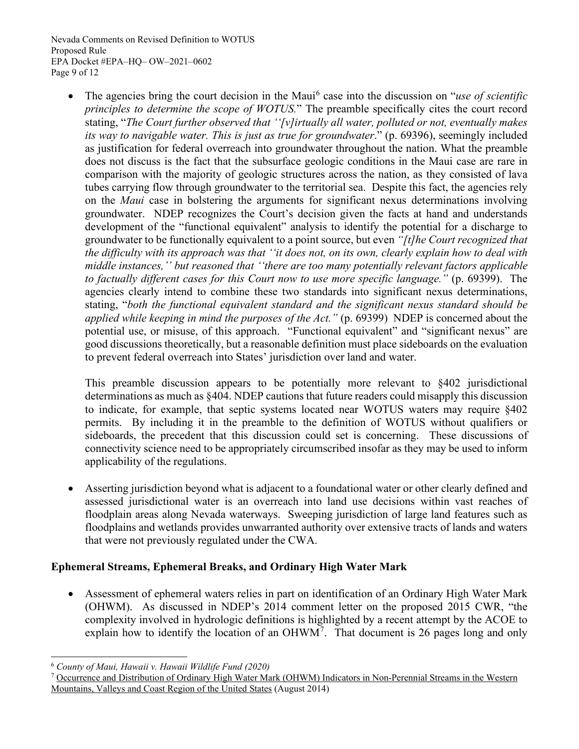Nevada Comments on Revised Definition to WOTUS Proposed Rule EPA Docket #EPA–HQ– OW–2021–0602 Page 9 of 12

• The agencies bring the court decision in the Maui<sup>[6](#page-8-0)</sup> case into the discussion on "*use of scientific principles to determine the scope of WOTUS.*" The preamble specifically cites the court record stating, "*The Court further observed that ''[v]irtually all water, polluted or not, eventually makes its way to navigable water. This is just as true for groundwater*." (p. 69396), seemingly included as justification for federal overreach into groundwater throughout the nation. What the preamble does not discuss is the fact that the subsurface geologic conditions in the Maui case are rare in comparison with the majority of geologic structures across the nation, as they consisted of lava tubes carrying flow through groundwater to the territorial sea. Despite this fact, the agencies rely on the *Maui* case in bolstering the arguments for significant nexus determinations involving groundwater. NDEP recognizes the Court's decision given the facts at hand and understands development of the "functional equivalent" analysis to identify the potential for a discharge to groundwater to be functionally equivalent to a point source, but even *"[t]he Court recognized that the difficulty with its approach was that ''it does not, on its own, clearly explain how to deal with middle instances,'' but reasoned that ''there are too many potentially relevant factors applicable to factually different cases for this Court now to use more specific language."* (p. 69399). The agencies clearly intend to combine these two standards into significant nexus determinations, stating, "*both the functional equivalent standard and the significant nexus standard should be applied while keeping in mind the purposes of the Act."* (p. 69399) NDEP is concerned about the potential use, or misuse, of this approach. "Functional equivalent" and "significant nexus" are good discussions theoretically, but a reasonable definition must place sideboards on the evaluation to prevent federal overreach into States' jurisdiction over land and water.

This preamble discussion appears to be potentially more relevant to §402 jurisdictional determinations as much as §404. NDEP cautions that future readers could misapply this discussion to indicate, for example, that septic systems located near WOTUS waters may require §402 permits. By including it in the preamble to the definition of WOTUS without qualifiers or sideboards, the precedent that this discussion could set is concerning. These discussions of connectivity science need to be appropriately circumscribed insofar as they may be used to inform applicability of the regulations.

Asserting jurisdiction beyond what is adjacent to a foundational water or other clearly defined and assessed jurisdictional water is an overreach into land use decisions within vast reaches of floodplain areas along Nevada waterways. Sweeping jurisdiction of large land features such as floodplains and wetlands provides unwarranted authority over extensive tracts of lands and waters that were not previously regulated under the CWA.

# **Ephemeral Streams, Ephemeral Breaks, and Ordinary High Water Mark**

• Assessment of ephemeral waters relies in part on identification of an Ordinary High Water Mark (OHWM). As discussed in NDEP's 2014 comment letter on the proposed 2015 CWR, "the complexity involved in hydrologic definitions is highlighted by a recent attempt by the ACOE to explain how to identify the location of an  $OHWM^7$  $OHWM^7$ . That document is 26 pages long and only

<span id="page-8-0"></span><sup>6</sup> *County of Maui, Hawaii v. Hawaii Wildlife Fund (2020)*

<span id="page-8-1"></span><sup>&</sup>lt;sup>7</sup> Occurrence and Distribution of Ordinary High Water Mark (OHWM) Indicators in Non-Perennial Streams in the Western Mountains, Valleys and Coast Region of the United States (August 2014)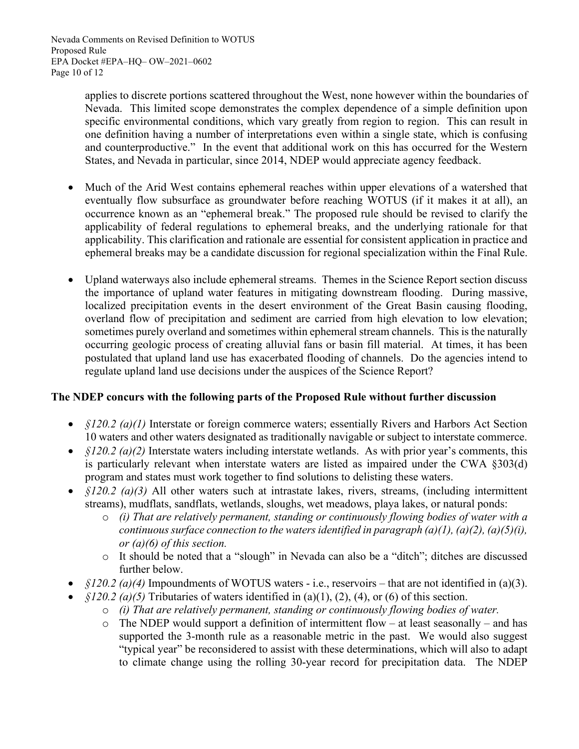applies to discrete portions scattered throughout the West, none however within the boundaries of Nevada. This limited scope demonstrates the complex dependence of a simple definition upon specific environmental conditions, which vary greatly from region to region. This can result in one definition having a number of interpretations even within a single state, which is confusing and counterproductive." In the event that additional work on this has occurred for the Western States, and Nevada in particular, since 2014, NDEP would appreciate agency feedback.

- Much of the Arid West contains ephemeral reaches within upper elevations of a watershed that eventually flow subsurface as groundwater before reaching WOTUS (if it makes it at all), an occurrence known as an "ephemeral break." The proposed rule should be revised to clarify the applicability of federal regulations to ephemeral breaks, and the underlying rationale for that applicability. This clarification and rationale are essential for consistent application in practice and ephemeral breaks may be a candidate discussion for regional specialization within the Final Rule.
- Upland waterways also include ephemeral streams. Themes in the Science Report section discuss the importance of upland water features in mitigating downstream flooding. During massive, localized precipitation events in the desert environment of the Great Basin causing flooding, overland flow of precipitation and sediment are carried from high elevation to low elevation; sometimes purely overland and sometimes within ephemeral stream channels. This is the naturally occurring geologic process of creating alluvial fans or basin fill material. At times, it has been postulated that upland land use has exacerbated flooding of channels. Do the agencies intend to regulate upland land use decisions under the auspices of the Science Report?

### **The NDEP concurs with the following parts of the Proposed Rule without further discussion**

- *§120.2 (a)(1)* Interstate or foreign commerce waters; essentially Rivers and Harbors Act Section 10 waters and other waters designated as traditionally navigable or subject to interstate commerce.
- *§120.2 (a)(2)* Interstate waters including interstate wetlands. As with prior year's comments, this is particularly relevant when interstate waters are listed as impaired under the CWA §303(d) program and states must work together to find solutions to delisting these waters.
- *§120.2 (a)(3)* All other waters such at intrastate lakes, rivers, streams, (including intermittent streams), mudflats, sandflats, wetlands, sloughs, wet meadows, playa lakes, or natural ponds:
	- o *(i) That are relatively permanent, standing or continuously flowing bodies of water with a continuous surface connection to the watersidentified in paragraph (a)(1), (a)(2), (a)(5)(i), or (a)(6) of this section.*
	- o It should be noted that a "slough" in Nevada can also be a "ditch"; ditches are discussed further below.
- *§120.2 (a)(4)* Impoundments of WOTUS waters i.e., reservoirs that are not identified in (a)(3).
- *§120.2 (a)(5)* Tributaries of waters identified in (a)(1), (2), (4), or (6) of this section.
	- o *(i) That are relatively permanent, standing or continuously flowing bodies of water.*
	- o The NDEP would support a definition of intermittent flow at least seasonally and has supported the 3-month rule as a reasonable metric in the past. We would also suggest "typical year" be reconsidered to assist with these determinations, which will also to adapt to climate change using the rolling 30-year record for precipitation data. The NDEP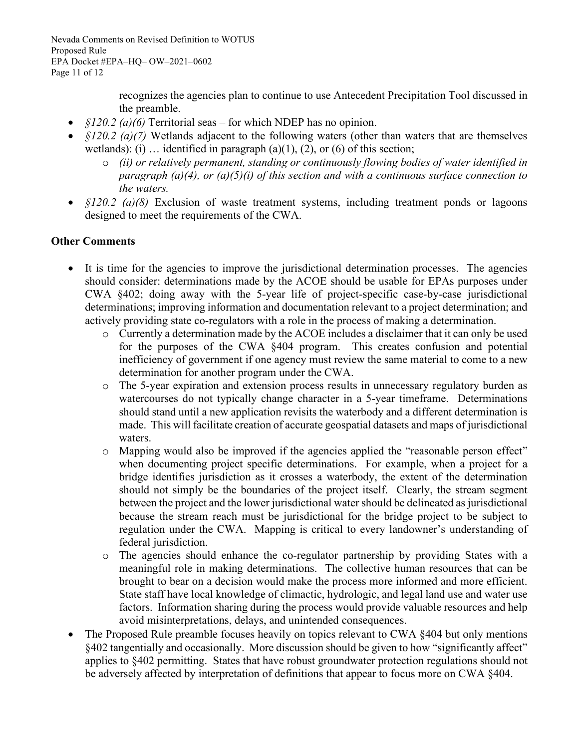Nevada Comments on Revised Definition to WOTUS Proposed Rule EPA Docket #EPA–HQ– OW–2021–0602 Page 11 of 12

> recognizes the agencies plan to continue to use Antecedent Precipitation Tool discussed in the preamble.

- *§120.2 (a)(6)* Territorial seas for which NDEP has no opinion.
- *§120.2 (a)(7)* Wetlands adjacent to the following waters (other than waters that are themselves wetlands): (i)  $\ldots$  identified in paragraph (a)(1), (2), or (6) of this section;
	- o *(ii) or relatively permanent, standing or continuously flowing bodies of water identified in paragraph (a)(4), or (a)(5)(i) of this section and with a continuous surface connection to the waters.*
- *§120.2 (a)(8)* Exclusion of waste treatment systems, including treatment ponds or lagoons designed to meet the requirements of the CWA.

## **Other Comments**

- It is time for the agencies to improve the jurisdictional determination processes. The agencies should consider: determinations made by the ACOE should be usable for EPAs purposes under CWA §402; doing away with the 5-year life of project-specific case-by-case jurisdictional determinations; improving information and documentation relevant to a project determination; and actively providing state co-regulators with a role in the process of making a determination.
	- o Currently a determination made by the ACOE includes a disclaimer that it can only be used for the purposes of the CWA §404 program. This creates confusion and potential inefficiency of government if one agency must review the same material to come to a new determination for another program under the CWA.
	- o The 5-year expiration and extension process results in unnecessary regulatory burden as watercourses do not typically change character in a 5-year timeframe. Determinations should stand until a new application revisits the waterbody and a different determination is made. This will facilitate creation of accurate geospatial datasets and maps of jurisdictional waters.
	- o Mapping would also be improved if the agencies applied the "reasonable person effect" when documenting project specific determinations. For example, when a project for a bridge identifies jurisdiction as it crosses a waterbody, the extent of the determination should not simply be the boundaries of the project itself. Clearly, the stream segment between the project and the lower jurisdictional water should be delineated as jurisdictional because the stream reach must be jurisdictional for the bridge project to be subject to regulation under the CWA. Mapping is critical to every landowner's understanding of federal jurisdiction.
	- o The agencies should enhance the co-regulator partnership by providing States with a meaningful role in making determinations. The collective human resources that can be brought to bear on a decision would make the process more informed and more efficient. State staff have local knowledge of climactic, hydrologic, and legal land use and water use factors. Information sharing during the process would provide valuable resources and help avoid misinterpretations, delays, and unintended consequences.
- The Proposed Rule preamble focuses heavily on topics relevant to CWA §404 but only mentions §402 tangentially and occasionally. More discussion should be given to how "significantly affect" applies to §402 permitting. States that have robust groundwater protection regulations should not be adversely affected by interpretation of definitions that appear to focus more on CWA §404.